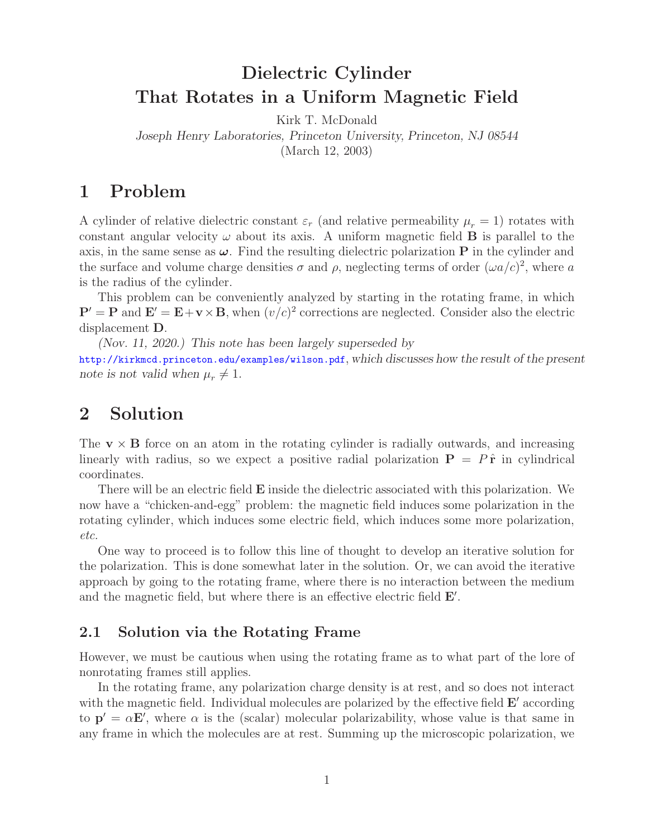# **Dielectric Cylinder That Rotates in a Uniform Magnetic Field**

Kirk T. McDonald

*Joseph Henry Laboratories, Princeton University, Princeton, NJ 08544*

(March 12, 2003)

### **1 Problem**

A cylinder of relative dielectric constant  $\varepsilon_r$  (and relative permeability  $\mu_r = 1$ ) rotates with constant angular velocity  $\omega$  about its axis. A uniform magnetic field **B** is parallel to the axis, in the same sense as  $\omega$ . Find the resulting dielectric polarization **P** in the cylinder and the surface and volume charge densities  $\sigma$  and  $\rho$ , neglecting terms of order  $(\omega a/c)^2$ , where a is the radius of the cylinder.

This problem can be conveniently analyzed by starting in the rotating frame, in which  $P' = P$  and  $E' = E + v \times B$ , when  $(v/c)^2$  corrections are neglected. Consider also the electric displacement **D**.

*(Nov. 11, 2020.) This note has been largely superseded by* http://kirkmcd.princeton.edu/examples/wilson.pdf, *which discusses how the result of the present note is not valid when*  $\mu_r \neq 1$ *.* 

## **2 Solution**

The  $\mathbf{v} \times \mathbf{B}$  force on an atom in the rotating cylinder is radially outwards, and increasing linearly with radius, so we expect a positive radial polarization  $P = P \hat{r}$  in cylindrical coordinates.

There will be an electric field **E** inside the dielectric associated with this polarization. We now have a "chicken-and-egg" problem: the magnetic field induces some polarization in the rotating cylinder, which induces some electric field, which induces some more polarization, *etc.*

One way to proceed is to follow this line of thought to develop an iterative solution for the polarization. This is done somewhat later in the solution. Or, we can avoid the iterative approach by going to the rotating frame, where there is no interaction between the medium and the magnetic field, but where there is an effective electric field **E'**.

#### **2.1 Solution via the Rotating Frame**

However, we must be cautious when using the rotating frame as to what part of the lore of nonrotating frames still applies.

In the rotating frame, any polarization charge density is at rest, and so does not interact with the magnetic field. Individual molecules are polarized by the effective field **E**' according to  $\mathbf{p}' = \alpha \mathbf{E}'$ , where  $\alpha$  is the (scalar) molecular polarizability, whose value is that same in any frame in which the molecules are at rest. Summing up the microscopic polarization, we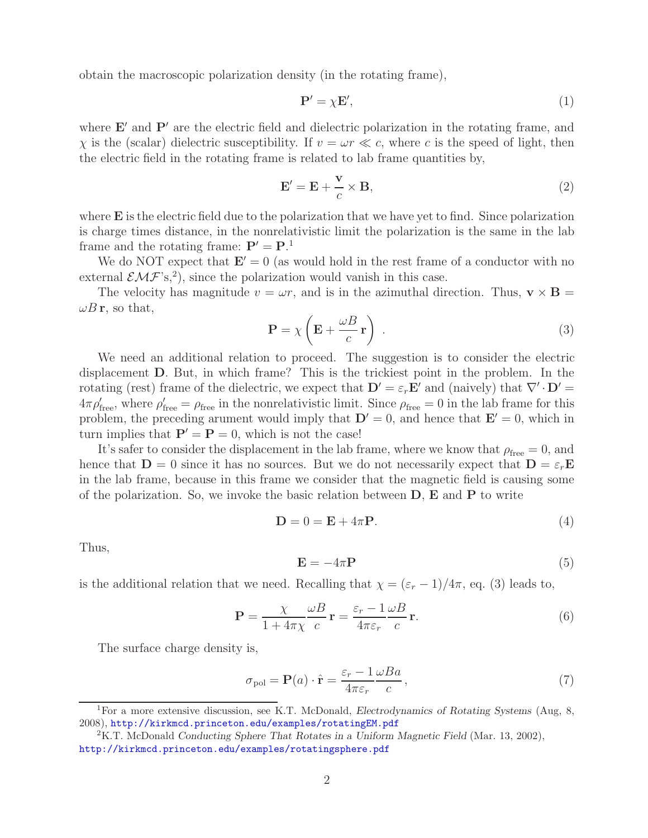obtain the macroscopic polarization density (in the rotating frame),

$$
\mathbf{P}' = \chi \mathbf{E}',\tag{1}
$$

where  $E'$  and  $P'$  are the electric field and dielectric polarization in the rotating frame, and  $\chi$  is the (scalar) dielectric susceptibility. If  $v = \omega r \ll c$ , where c is the speed of light, then the electric field in the rotating frame is related to lab frame quantities by,

$$
\mathbf{E}' = \mathbf{E} + \frac{\mathbf{v}}{c} \times \mathbf{B},\tag{2}
$$

where **E** is the electric field due to the polarization that we have yet to find. Since polarization is charge times distance, in the nonrelativistic limit the polarization is the same in the lab frame and the rotating frame:  $P' = P$ .<sup>1</sup>

We do NOT expect that  $\mathbf{E}' = 0$  (as would hold in the rest frame of a conductor with no external  $\mathcal{EMF}$ 's,<sup>2</sup>), since the polarization would vanish in this case.

The velocity has magnitude  $v = \omega r$ , and is in the azimuthal direction. Thus,  $\mathbf{v} \times \mathbf{B} =$  $\omega B$ **r**, so that,

$$
\mathbf{P} = \chi \left( \mathbf{E} + \frac{\omega B}{c} \mathbf{r} \right) . \tag{3}
$$

We need an additional relation to proceed. The suggestion is to consider the electric displacement **D**. But, in which frame? This is the trickiest point in the problem. In the rotating (rest) frame of the dielectric, we expect that  $\mathbf{D}' = \varepsilon_r \mathbf{E}'$  and (naively) that  $\nabla' \cdot \mathbf{D}' =$  $4\pi\rho'_{\text{free}}$ , where  $\rho'_{\text{free}} = \rho_{\text{free}}$  in the nonrelativistic limit. Since  $\rho_{\text{free}} = 0$  in the lab frame for this problem, the preceding arument would imply that  $D' = 0$ , and hence that  $E' = 0$ , which in turn implies that  $P' = P = 0$ , which is not the case!

It's safer to consider the displacement in the lab frame, where we know that  $\rho_{\text{free}} = 0$ , and hence that  $\mathbf{D} = 0$  since it has no sources. But we do not necessarily expect that  $\mathbf{D} = \varepsilon_r \mathbf{E}$ in the lab frame, because in this frame we consider that the magnetic field is causing some of the polarization. So, we invoke the basic relation between **D**, **E** and **P** to write

$$
\mathbf{D} = 0 = \mathbf{E} + 4\pi \mathbf{P}.\tag{4}
$$

Thus,

$$
\mathbf{E} = -4\pi \mathbf{P} \tag{5}
$$

is the additional relation that we need. Recalling that  $\chi = (\varepsilon_r - 1)/4\pi$ , eq. (3) leads to,

$$
\mathbf{P} = \frac{\chi}{1 + 4\pi\chi} \frac{\omega B}{c} \mathbf{r} = \frac{\varepsilon_r - 1}{4\pi\varepsilon_r} \frac{\omega B}{c} \mathbf{r}.
$$
 (6)

The surface charge density is,

$$
\sigma_{\text{pol}} = \mathbf{P}(a) \cdot \hat{\mathbf{r}} = \frac{\varepsilon_r - 1}{4\pi\varepsilon_r} \frac{\omega Ba}{c},\tag{7}
$$

<sup>1</sup>For a more extensive discussion, see K.T. McDonald, *Electrodynamics of Rotating Systems* (Aug, 8, 2008), http://kirkmcd.princeton.edu/examples/rotatingEM.pdf

<sup>2</sup>K.T. McDonald *Conducting Sphere That Rotates in a Uniform Magnetic Field* (Mar. 13, 2002), http://kirkmcd.princeton.edu/examples/rotatingsphere.pdf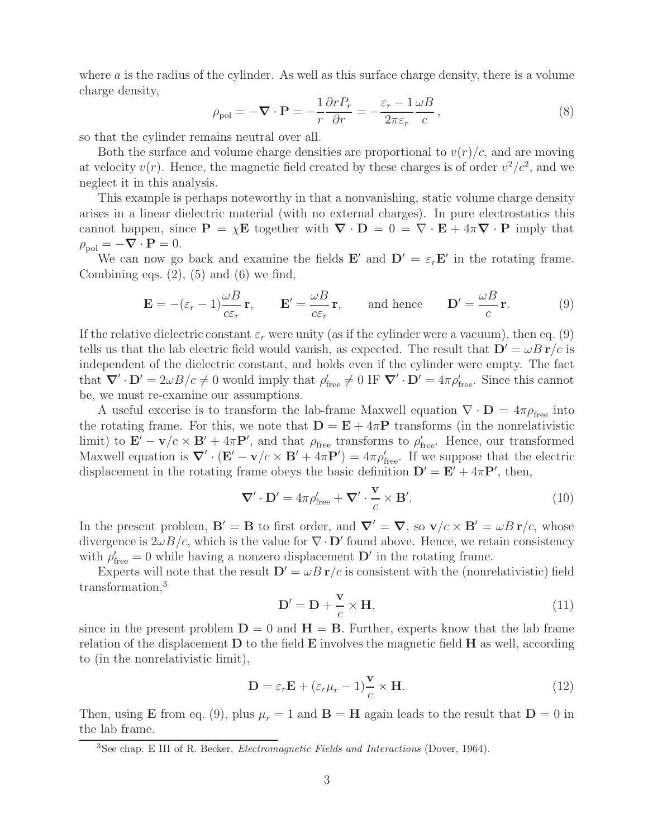where  $\alpha$  is the radius of the cylinder. As well as this surface charge density, there is a volume charge density,

$$
\rho_{\text{pol}} = -\nabla \cdot \mathbf{P} = -\frac{1}{r} \frac{\partial r P_r}{\partial r} = -\frac{\varepsilon_r - 1}{2\pi \varepsilon_r} \frac{\omega B}{c},\tag{8}
$$

so that the cylinder remains neutral over all.

Both the surface and volume charge densities are proportional to  $v(r)/c$ , and are moving at velocity  $v(r)$ . Hence, the magnetic field created by these charges is of order  $v^2/c^2$ , and we neglect it in this analysis.

This example is perhaps noteworthy in that a nonvanishing, static volume charge density arises in a linear dielectric material (with no external charges). In pure electrostatics this cannot happen, since  $P = \chi E$  together with  $\nabla \cdot D = 0 = \nabla \cdot E + 4\pi \nabla \cdot P$  imply that  $\rho_{\text{pol}} = -\nabla \cdot \mathbf{P} = 0.$ 

We can now go back and examine the fields **E**' and  $D' = \varepsilon_r E'$  in the rotating frame. Combining eqs.  $(2)$ ,  $(5)$  and  $(6)$  we find,

$$
\mathbf{E} = -(\varepsilon_r - 1)\frac{\omega B}{c\varepsilon_r}\mathbf{r}, \qquad \mathbf{E}' = \frac{\omega B}{c\varepsilon_r}\mathbf{r}, \qquad \text{and hence} \qquad \mathbf{D}' = \frac{\omega B}{c}\mathbf{r}.
$$
 (9)

If the relative dielectric constant  $\varepsilon_r$  were unity (as if the cylinder were a vacuum), then eq. (9) tells us that the lab electric field would vanish, as expected. The result that  $D' = \omega B r/c$  is independent of the dielectric constant, and holds even if the cylinder were empty. The fact that  $\nabla' \cdot \mathbf{D}' = 2\omega B/c \neq 0$  would imply that  $\rho'_{\text{free}} \neq 0$  IF  $\nabla' \cdot \mathbf{D}' = 4\pi \rho'_{\text{free}}$ . Since this cannot be, we must re-examine our assumptions.

A useful excerise is to transform the lab-frame Maxwell equation  $\nabla \cdot \mathbf{D} = 4\pi \rho_{\text{free}}$  into the rotating frame. For this, we note that  $\mathbf{D} = \mathbf{E} + 4\pi \mathbf{P}$  transforms (in the nonrelativistic limit) to  $\mathbf{E}' - \mathbf{v}/c \times \mathbf{B}' + 4\pi \mathbf{P}'$ , and that  $\rho_{\text{free}}$  transforms to  $\rho'_{\text{free}}$ . Hence, our transformed Maxwell equation is  $\nabla' \cdot (\mathbf{E}' - \mathbf{v}/c \times \mathbf{B}' + 4\pi \mathbf{P}') = 4\pi \rho'_{\text{free}}$ . If we suppose that the electric displacement in the rotating frame obeys the basic definition  $\mathbf{D}' = \mathbf{E}' + 4\pi \mathbf{P}'$ , then,

$$
\nabla' \cdot \mathbf{D}' = 4\pi \rho'_{\text{free}} + \nabla' \cdot \frac{\mathbf{v}}{c} \times \mathbf{B}'.\tag{10}
$$

In the present problem,  $\mathbf{B}' = \mathbf{B}$  to first order, and  $\nabla' = \nabla$ , so  $\mathbf{v}/c \times \mathbf{B}' = \omega B \mathbf{r}/c$ , whose divergence is  $2\omega B/c$ , which is the value for  $\nabla \cdot \mathbf{D}'$  found above. Hence, we retain consistency with  $\rho'_{\text{free}} = 0$  while having a nonzero displacement  $\mathbf{D}'$  in the rotating frame.

Experts will note that the result  $\mathbf{D}' = \omega B \mathbf{r}/c$  is consistent with the (nonrelativistic) field transformation,<sup>3</sup>

$$
\mathbf{D}' = \mathbf{D} + \frac{\mathbf{v}}{c} \times \mathbf{H},\tag{11}
$$

since in the present problem  $D = 0$  and  $H = B$ . Further, experts know that the lab frame relation of the displacement **D** to the field **E** involves the magnetic field **H** as well, according to (in the nonrelativistic limit),

$$
\mathbf{D} = \varepsilon_r \mathbf{E} + (\varepsilon_r \mu_r - 1) \frac{\mathbf{v}}{c} \times \mathbf{H}.
$$
 (12)

Then, using **E** from eq. (9), plus  $\mu_r = 1$  and **B** = **H** again leads to the result that **D** = 0 in the lab frame.

<sup>3</sup>See chap. E III of R. Becker, *Electromagnetic Fields and Interactions* (Dover, 1964).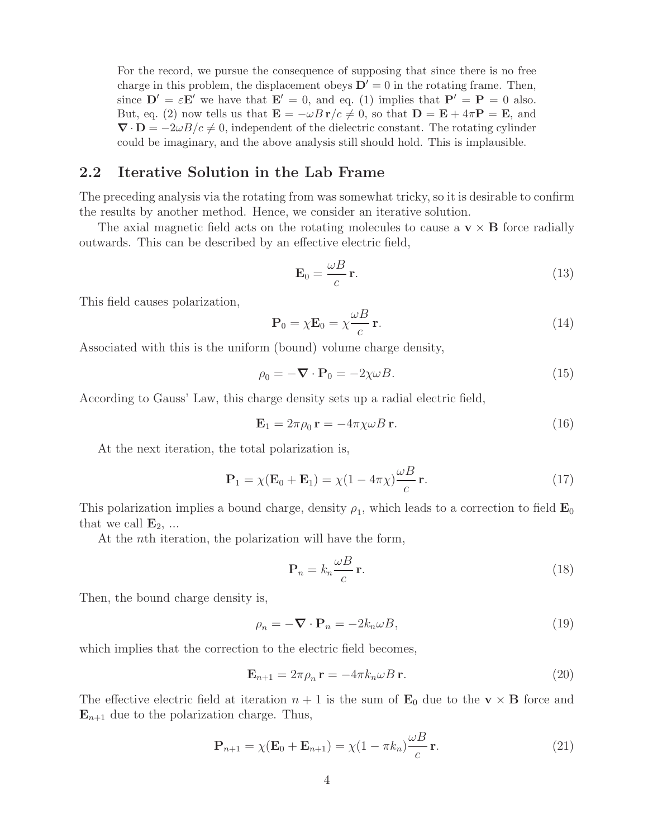For the record, we pursue the consequence of supposing that since there is no free charge in this problem, the displacement obeys  $\mathbf{D}' = 0$  in the rotating frame. Then, since  $\mathbf{D}' = \varepsilon \mathbf{E}'$  we have that  $\mathbf{E}' = 0$ , and eq. (1) implies that  $\mathbf{P}' = \mathbf{P} = 0$  also. But, eq. (2) now tells us that  $\mathbf{E} = -\omega B \mathbf{r}/c \neq 0$ , so that  $\mathbf{D} = \mathbf{E} + 4\pi \mathbf{P} = \mathbf{E}$ , and  $\nabla \cdot \mathbf{D} = -2\omega B/c \neq 0$ , independent of the dielectric constant. The rotating cylinder could be imaginary, and the above analysis still should hold. This is implausible.

#### **2.2 Iterative Solution in the Lab Frame**

The preceding analysis via the rotating from was somewhat tricky, so it is desirable to confirm the results by another method. Hence, we consider an iterative solution.

The axial magnetic field acts on the rotating molecules to cause a  $\mathbf{v} \times \mathbf{B}$  force radially outwards. This can be described by an effective electric field,

$$
\mathbf{E}_0 = \frac{\omega B}{c} \mathbf{r}.\tag{13}
$$

This field causes polarization,

$$
\mathbf{P}_0 = \chi \mathbf{E}_0 = \chi \frac{\omega B}{c} \mathbf{r}.\tag{14}
$$

Associated with this is the uniform (bound) volume charge density,

$$
\rho_0 = -\nabla \cdot \mathbf{P}_0 = -2\chi \omega B. \tag{15}
$$

According to Gauss' Law, this charge density sets up a radial electric field,

$$
\mathbf{E}_1 = 2\pi \rho_0 \mathbf{r} = -4\pi \chi \omega B \mathbf{r}.\tag{16}
$$

At the next iteration, the total polarization is,

$$
\mathbf{P}_1 = \chi(\mathbf{E}_0 + \mathbf{E}_1) = \chi(1 - 4\pi\chi)\frac{\omega B}{c}\mathbf{r}.\tag{17}
$$

This polarization implies a bound charge, density  $\rho_1$ , which leads to a correction to field  $\mathbf{E}_0$ that we call  $\mathbf{E}_2$ , ...

At the nth iteration, the polarization will have the form,

$$
\mathbf{P}_n = k_n \frac{\omega B}{c} \mathbf{r}.\tag{18}
$$

Then, the bound charge density is,

$$
\rho_n = -\nabla \cdot \mathbf{P}_n = -2k_n \omega B,\tag{19}
$$

which implies that the correction to the electric field becomes,

$$
\mathbf{E}_{n+1} = 2\pi \rho_n \mathbf{r} = -4\pi k_n \omega B \mathbf{r}.
$$
 (20)

The effective electric field at iteration  $n + 1$  is the sum of  $\mathbf{E}_0$  due to the  $\mathbf{v} \times \mathbf{B}$  force and  $\mathbf{E}_{n+1}$  due to the polarization charge. Thus,

$$
\mathbf{P}_{n+1} = \chi(\mathbf{E}_0 + \mathbf{E}_{n+1}) = \chi(1 - \pi k_n) \frac{\omega B}{c} \mathbf{r}.
$$
 (21)